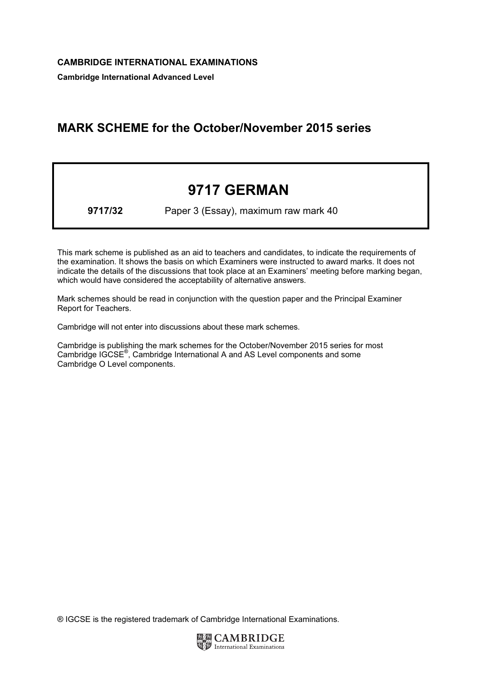Cambridge International Advanced Level

## MARK SCHEME for the October/November 2015 series

## 9717 GERMAN

9717/32 Paper 3 (Essay), maximum raw mark 40

This mark scheme is published as an aid to teachers and candidates, to indicate the requirements of the examination. It shows the basis on which Examiners were instructed to award marks. It does not indicate the details of the discussions that took place at an Examiners' meeting before marking began, which would have considered the acceptability of alternative answers.

Mark schemes should be read in conjunction with the question paper and the Principal Examiner Report for Teachers.

Cambridge will not enter into discussions about these mark schemes.

Cambridge is publishing the mark schemes for the October/November 2015 series for most Cambridge IGCSE*®* , Cambridge International A and AS Level components and some Cambridge O Level components.

® IGCSE is the registered trademark of Cambridge International Examinations.